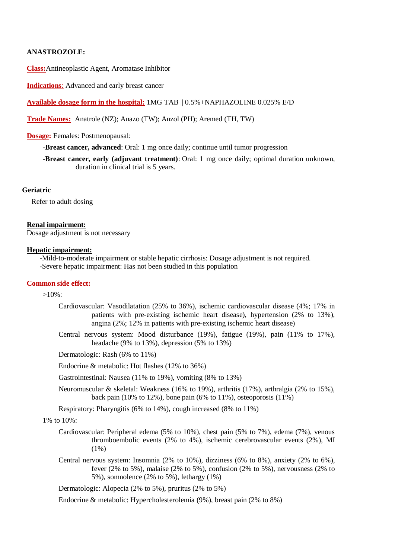## **ANASTROZOLE:**

**Class:**Antineoplastic Agent, Aromatase Inhibitor

**Indications**: Advanced and early breast cancer

### **Available dosage form in the hospital:** 1MG TAB || 0.5%+NAPHAZOLINE 0.025% E/D

**Trade Names:** Anatrole (NZ); Anazo (TW); Anzol (PH); Aremed (TH, TW)

#### **Dosage:** Females: Postmenopausal:

-**Breast cancer, advanced**: Oral: 1 mg once daily; continue until tumor progression

-**Breast cancer, early (adjuvant treatment)**: Oral: 1 mg once daily; optimal duration unknown, duration in clinical trial is 5 years.

### **Geriatric**

Refer to adult dosing

#### **Renal impairment:**

Dosage adjustment is not necessary

#### **Hepatic impairment:**

 -Mild-to-moderate impairment or stable hepatic cirrhosis: Dosage adjustment is not required. -Severe hepatic impairment: Has not been studied in this population

### **Common side effect:**

 $>10\%$ :

- Cardiovascular: Vasodilatation (25% to 36%), ischemic cardiovascular disease (4%; 17% in patients with pre-existing ischemic heart disease), hypertension (2% to 13%), angina  $(2\%; 12\%$  in patients with pre-existing ischemic heart disease)
- Central nervous system: Mood disturbance (19%), fatigue (19%), pain (11% to 17%), headache (9% to 13%), depression (5% to 13%)

Dermatologic: Rash (6% to 11%)

Endocrine & metabolic: Hot flashes (12% to 36%)

Gastrointestinal: Nausea (11% to 19%), vomiting (8% to 13%)

Neuromuscular & skeletal: Weakness (16% to 19%), arthritis (17%), arthralgia (2% to 15%), back pain (10% to 12%), bone pain (6% to 11%), osteoporosis (11%)

Respiratory: Pharyngitis (6% to 14%), cough increased (8% to 11%)

## 1% to 10%:

- Cardiovascular: Peripheral edema (5% to 10%), chest pain (5% to 7%), edema (7%), venous thromboembolic events (2% to 4%), ischemic cerebrovascular events (2%), MI  $(1\%)$
- Central nervous system: Insomnia (2% to 10%), dizziness (6% to 8%), anxiety (2% to 6%), fever (2% to 5%), malaise (2% to 5%), confusion (2% to 5%), nervousness (2% to 5%), somnolence (2% to 5%), lethargy (1%)

Dermatologic: Alopecia (2% to 5%), pruritus (2% to 5%)

Endocrine & metabolic: Hypercholesterolemia (9%), breast pain (2% to 8%)